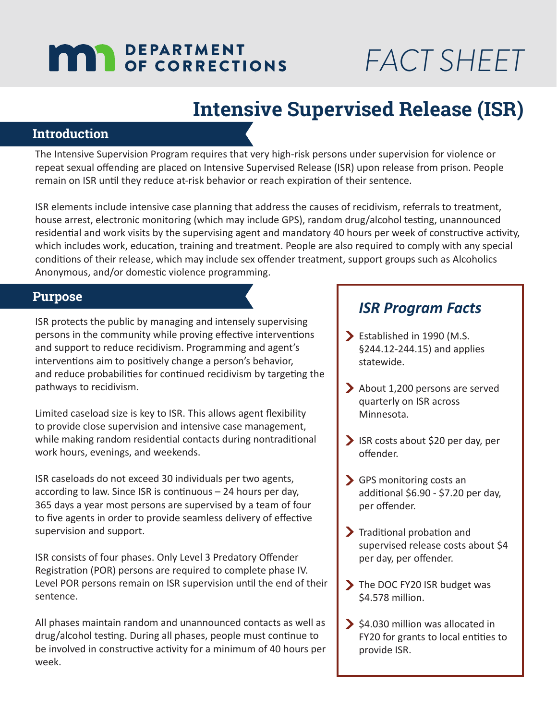# **MAY DEPARTMENT**

# *FACT SHEET*

## **Intensive Supervised Release (ISR)**

### **Introduction**

The Intensive Supervision Program requires that very high-risk persons under supervision for violence or repeat sexual offending are placed on Intensive Supervised Release (ISR) upon release from prison. People remain on ISR until they reduce at-risk behavior or reach expiration of their sentence.

ISR elements include intensive case planning that address the causes of recidivism, referrals to treatment, house arrest, electronic monitoring (which may include GPS), random drug/alcohol testing, unannounced residential and work visits by the supervising agent and mandatory 40 hours per week of constructive activity, which includes work, education, training and treatment. People are also required to comply with any special conditions of their release, which may include sex offender treatment, support groups such as Alcoholics Anonymous, and/or domestic violence programming.

#### **Purpose**

ISR protects the public by managing and intensely supervising persons in the community while proving effective interventions and support to reduce recidivism. Programming and agent's interventions aim to positively change a person's behavior, and reduce probabilities for continued recidivism by targeting the pathways to recidivism.

Limited caseload size is key to ISR. This allows agent flexibility to provide close supervision and intensive case management, while making random residential contacts during nontraditional work hours, evenings, and weekends.

ISR caseloads do not exceed 30 individuals per two agents, according to law. Since ISR is continuous – 24 hours per day, 365 days a year most persons are supervised by a team of four to five agents in order to provide seamless delivery of effective supervision and support.

ISR consists of four phases. Only Level 3 Predatory Offender Registration (POR) persons are required to complete phase IV. Level POR persons remain on ISR supervision until the end of their sentence.

All phases maintain random and unannounced contacts as well as drug/alcohol testing. During all phases, people must continue to be involved in constructive activity for a minimum of 40 hours per week.

### *ISR Program Facts*

- Established in 1990 (M.S. §244.12-244.15) and applies statewide.
- About 1,200 persons are served quarterly on ISR across Minnesota.
- ISR costs about \$20 per day, per offender.
- GPS monitoring costs an additional \$6.90 - \$7.20 per day, per offender.
- **Traditional probation and** supervised release costs about \$4 per day, per offender.
- The DOC FY20 ISR budget was \$4.578 million.
- $\blacktriangleright$  \$4.030 million was allocated in FY20 for grants to local entities to provide ISR.